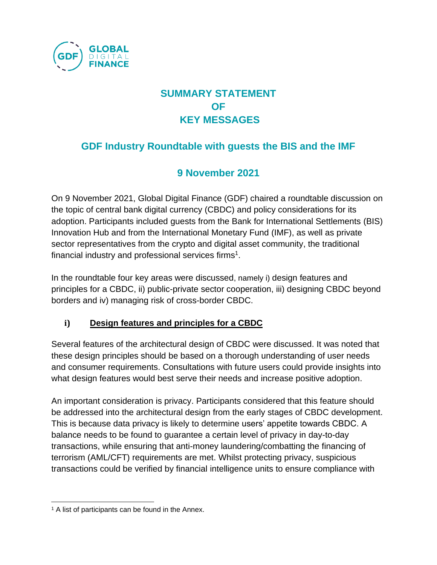

# **SUMMARY STATEMENT OF KEY MESSAGES**

# **GDF Industry Roundtable with guests the BIS and the IMF**

## **9 November 2021**

On 9 November 2021, Global Digital Finance (GDF) chaired a roundtable discussion on the topic of central bank digital currency (CBDC) and policy considerations for its adoption. Participants included guests from the Bank for International Settlements (BIS) Innovation Hub and from the International Monetary Fund (IMF), as well as private sector representatives from the crypto and digital asset community, the traditional financial industry and professional services firms<sup>1</sup>.

In the roundtable four key areas were discussed, namely i) design features and principles for a CBDC, ii) public-private sector cooperation, iii) designing CBDC beyond borders and iv) managing risk of cross-border CBDC.

#### **i) Design features and principles for a CBDC**

Several features of the architectural design of CBDC were discussed. It was noted that these design principles should be based on a thorough understanding of user needs and consumer requirements. Consultations with future users could provide insights into what design features would best serve their needs and increase positive adoption.

An important consideration is privacy. Participants considered that this feature should be addressed into the architectural design from the early stages of CBDC development. This is because data privacy is likely to determine users' appetite towards CBDC. A balance needs to be found to guarantee a certain level of privacy in day-to-day transactions, while ensuring that anti-money laundering/combatting the financing of terrorism (AML/CFT) requirements are met. Whilst protecting privacy, suspicious transactions could be verified by financial intelligence units to ensure compliance with

<sup>&</sup>lt;sup>1</sup> A list of participants can be found in the Annex.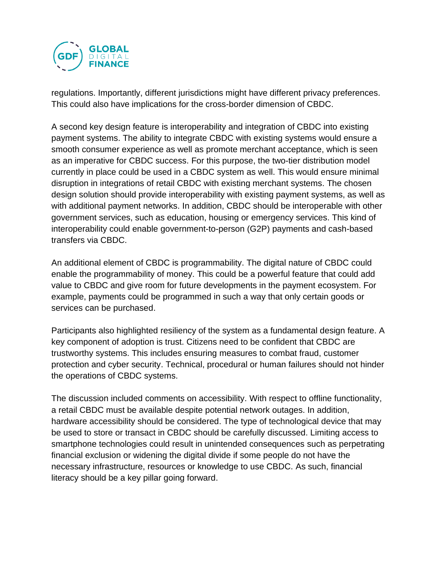

regulations. Importantly, different jurisdictions might have different privacy preferences. This could also have implications for the cross-border dimension of CBDC.

A second key design feature is interoperability and integration of CBDC into existing payment systems. The ability to integrate CBDC with existing systems would ensure a smooth consumer experience as well as promote merchant acceptance, which is seen as an imperative for CBDC success. For this purpose, the two-tier distribution model currently in place could be used in a CBDC system as well. This would ensure minimal disruption in integrations of retail CBDC with existing merchant systems. The chosen design solution should provide interoperability with existing payment systems, as well as with additional payment networks. In addition, CBDC should be interoperable with other government services, such as education, housing or emergency services. This kind of interoperability could enable government-to-person (G2P) payments and cash-based transfers via CBDC.

An additional element of CBDC is programmability. The digital nature of CBDC could enable the programmability of money. This could be a powerful feature that could add value to CBDC and give room for future developments in the payment ecosystem. For example, payments could be programmed in such a way that only certain goods or services can be purchased.

Participants also highlighted resiliency of the system as a fundamental design feature. A key component of adoption is trust. Citizens need to be confident that CBDC are trustworthy systems. This includes ensuring measures to combat fraud, customer protection and cyber security. Technical, procedural or human failures should not hinder the operations of CBDC systems.

The discussion included comments on accessibility. With respect to offline functionality, a retail CBDC must be available despite potential network outages. In addition, hardware accessibility should be considered. The type of technological device that may be used to store or transact in CBDC should be carefully discussed. Limiting access to smartphone technologies could result in unintended consequences such as perpetrating financial exclusion or widening the digital divide if some people do not have the necessary infrastructure, resources or knowledge to use CBDC. As such, financial literacy should be a key pillar going forward.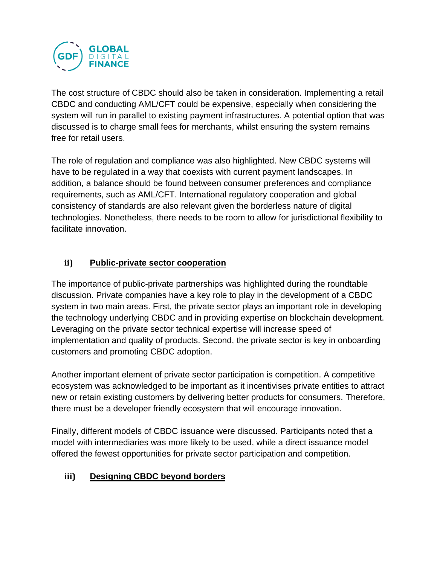

The cost structure of CBDC should also be taken in consideration. Implementing a retail CBDC and conducting AML/CFT could be expensive, especially when considering the system will run in parallel to existing payment infrastructures. A potential option that was discussed is to charge small fees for merchants, whilst ensuring the system remains free for retail users.

The role of regulation and compliance was also highlighted. New CBDC systems will have to be regulated in a way that coexists with current payment landscapes. In addition, a balance should be found between consumer preferences and compliance requirements, such as AML/CFT. International regulatory cooperation and global consistency of standards are also relevant given the borderless nature of digital technologies. Nonetheless, there needs to be room to allow for jurisdictional flexibility to facilitate innovation.

#### **ii) Public-private sector cooperation**

The importance of public-private partnerships was highlighted during the roundtable discussion. Private companies have a key role to play in the development of a CBDC system in two main areas. First, the private sector plays an important role in developing the technology underlying CBDC and in providing expertise on blockchain development. Leveraging on the private sector technical expertise will increase speed of implementation and quality of products. Second, the private sector is key in onboarding customers and promoting CBDC adoption.

Another important element of private sector participation is competition. A competitive ecosystem was acknowledged to be important as it incentivises private entities to attract new or retain existing customers by delivering better products for consumers. Therefore, there must be a developer friendly ecosystem that will encourage innovation.

Finally, different models of CBDC issuance were discussed. Participants noted that a model with intermediaries was more likely to be used, while a direct issuance model offered the fewest opportunities for private sector participation and competition.

#### **iii) Designing CBDC beyond borders**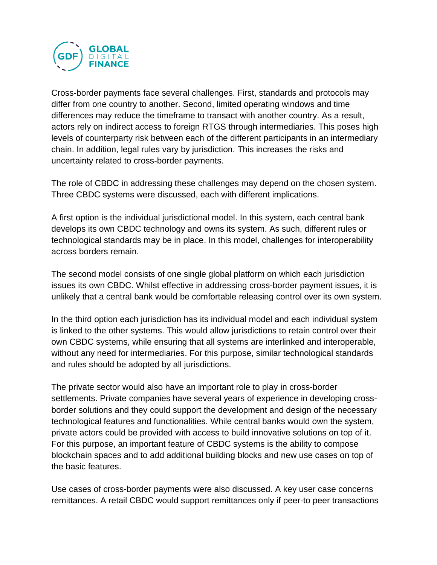

Cross-border payments face several challenges. First, standards and protocols may differ from one country to another. Second, limited operating windows and time differences may reduce the timeframe to transact with another country. As a result, actors rely on indirect access to foreign RTGS through intermediaries. This poses high levels of counterparty risk between each of the different participants in an intermediary chain. In addition, legal rules vary by jurisdiction. This increases the risks and uncertainty related to cross-border payments.

The role of CBDC in addressing these challenges may depend on the chosen system. Three CBDC systems were discussed, each with different implications.

A first option is the individual jurisdictional model. In this system, each central bank develops its own CBDC technology and owns its system. As such, different rules or technological standards may be in place. In this model, challenges for interoperability across borders remain.

The second model consists of one single global platform on which each jurisdiction issues its own CBDC. Whilst effective in addressing cross-border payment issues, it is unlikely that a central bank would be comfortable releasing control over its own system.

In the third option each jurisdiction has its individual model and each individual system is linked to the other systems. This would allow jurisdictions to retain control over their own CBDC systems, while ensuring that all systems are interlinked and interoperable, without any need for intermediaries. For this purpose, similar technological standards and rules should be adopted by all jurisdictions.

The private sector would also have an important role to play in cross-border settlements. Private companies have several years of experience in developing crossborder solutions and they could support the development and design of the necessary technological features and functionalities. While central banks would own the system, private actors could be provided with access to build innovative solutions on top of it. For this purpose, an important feature of CBDC systems is the ability to compose blockchain spaces and to add additional building blocks and new use cases on top of the basic features.

Use cases of cross-border payments were also discussed. A key user case concerns remittances. A retail CBDC would support remittances only if peer-to peer transactions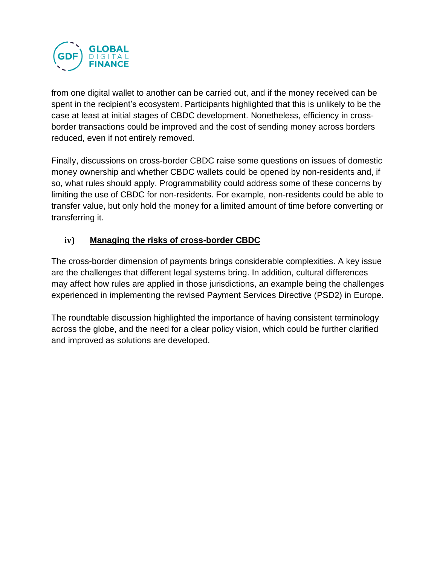

from one digital wallet to another can be carried out, and if the money received can be spent in the recipient's ecosystem. Participants highlighted that this is unlikely to be the case at least at initial stages of CBDC development. Nonetheless, efficiency in crossborder transactions could be improved and the cost of sending money across borders reduced, even if not entirely removed.

Finally, discussions on cross-border CBDC raise some questions on issues of domestic money ownership and whether CBDC wallets could be opened by non-residents and, if so, what rules should apply. Programmability could address some of these concerns by limiting the use of CBDC for non-residents. For example, non-residents could be able to transfer value, but only hold the money for a limited amount of time before converting or transferring it.

#### **iv) Managing the risks of cross-border CBDC**

The cross-border dimension of payments brings considerable complexities. A key issue are the challenges that different legal systems bring. In addition, cultural differences may affect how rules are applied in those jurisdictions, an example being the challenges experienced in implementing the revised Payment Services Directive (PSD2) in Europe.

The roundtable discussion highlighted the importance of having consistent terminology across the globe, and the need for a clear policy vision, which could be further clarified and improved as solutions are developed.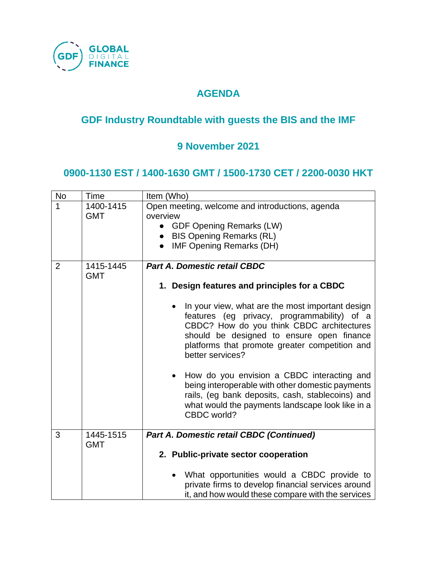

## **AGENDA**

# **GDF Industry Roundtable with guests the BIS and the IMF**

## **9 November 2021**

#### **0900-1130 EST / 1400-1630 GMT / 1500-1730 CET / 2200-0030 HKT**

| <b>No</b>      | Time                    | Item (Who)                                                                                                                                                                                                                                                      |  |
|----------------|-------------------------|-----------------------------------------------------------------------------------------------------------------------------------------------------------------------------------------------------------------------------------------------------------------|--|
| 1              | 1400-1415<br><b>GMT</b> | Open meeting, welcome and introductions, agenda<br>overview<br>• GDF Opening Remarks (LW)<br>• BIS Opening Remarks (RL)<br><b>IMF Opening Remarks (DH)</b>                                                                                                      |  |
| $\overline{2}$ | 1415-1445<br><b>GMT</b> | <b>Part A. Domestic retail CBDC</b><br>1. Design features and principles for a CBDC                                                                                                                                                                             |  |
|                |                         |                                                                                                                                                                                                                                                                 |  |
|                |                         | In your view, what are the most important design<br>features (eg privacy, programmability) of a<br>CBDC? How do you think CBDC architectures<br>should be designed to ensure open finance<br>platforms that promote greater competition and<br>better services? |  |
|                |                         | How do you envision a CBDC interacting and<br>٠<br>being interoperable with other domestic payments<br>rails, (eg bank deposits, cash, stablecoins) and<br>what would the payments landscape look like in a<br>CBDC world?                                      |  |
| 3              | 1445-1515               | Part A. Domestic retail CBDC (Continued)                                                                                                                                                                                                                        |  |
|                | <b>GMT</b>              | 2. Public-private sector cooperation                                                                                                                                                                                                                            |  |
|                |                         | What opportunities would a CBDC provide to<br>$\bullet$<br>private firms to develop financial services around<br>it, and how would these compare with the services                                                                                              |  |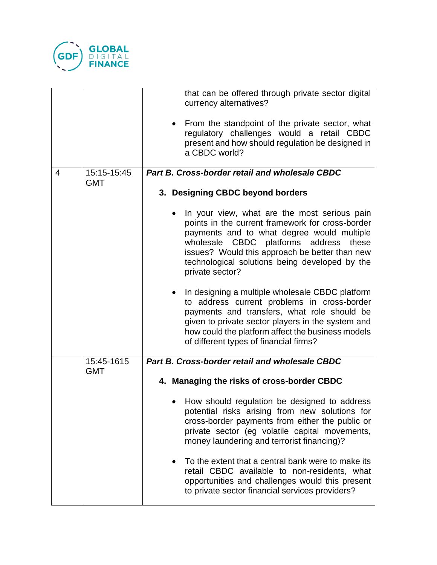

|   |                           | that can be offered through private sector digital<br>currency alternatives?<br>From the standpoint of the private sector, what<br>$\bullet$<br>regulatory challenges would a retail CBDC<br>present and how should regulation be designed in<br>a CBDC world?                                                     |  |  |
|---|---------------------------|--------------------------------------------------------------------------------------------------------------------------------------------------------------------------------------------------------------------------------------------------------------------------------------------------------------------|--|--|
| 4 | 15:15-15:45<br><b>GMT</b> | Part B. Cross-border retail and wholesale CBDC                                                                                                                                                                                                                                                                     |  |  |
|   |                           | 3. Designing CBDC beyond borders                                                                                                                                                                                                                                                                                   |  |  |
|   |                           | In your view, what are the most serious pain<br>points in the current framework for cross-border<br>payments and to what degree would multiple<br>wholesale CBDC platforms address<br>these<br>issues? Would this approach be better than new<br>technological solutions being developed by the<br>private sector? |  |  |
|   |                           | In designing a multiple wholesale CBDC platform<br>to address current problems in cross-border<br>payments and transfers, what role should be<br>given to private sector players in the system and<br>how could the platform affect the business models<br>of different types of financial firms?                  |  |  |
|   | 15:45-1615<br><b>GMT</b>  | Part B. Cross-border retail and wholesale CBDC                                                                                                                                                                                                                                                                     |  |  |
|   |                           | 4. Managing the risks of cross-border CBDC                                                                                                                                                                                                                                                                         |  |  |
|   |                           | How should regulation be designed to address<br>potential risks arising from new solutions for<br>cross-border payments from either the public or<br>private sector (eg volatile capital movements,<br>money laundering and terrorist financing)?                                                                  |  |  |
|   |                           | To the extent that a central bank were to make its<br>retail CBDC available to non-residents, what<br>opportunities and challenges would this present<br>to private sector financial services providers?                                                                                                           |  |  |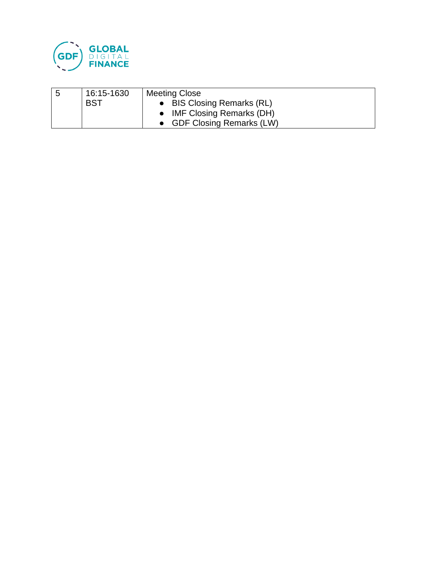

| 5 | 16:15-1630 | <b>Meeting Close</b>       |  |
|---|------------|----------------------------|--|
|   | BST        | • BIS Closing Remarks (RL) |  |
|   |            | • IMF Closing Remarks (DH) |  |
|   |            | • GDF Closing Remarks (LW) |  |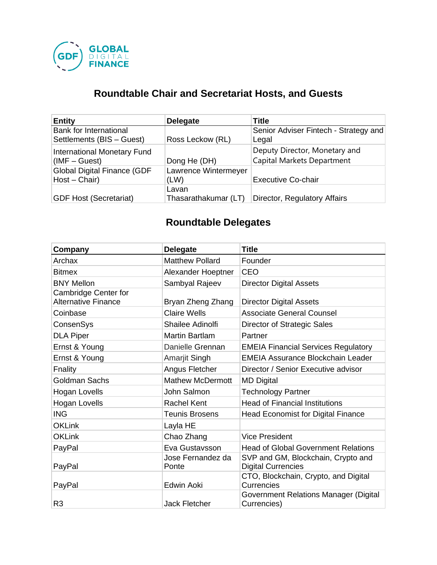

# **Roundtable Chair and Secretariat Hosts, and Guests**

| <b>Entity</b>                                         | <b>Delegate</b>               | <b>Title</b>                                                |
|-------------------------------------------------------|-------------------------------|-------------------------------------------------------------|
| Bank for International<br>Settlements (BIS - Guest)   | Ross Leckow (RL)              | Senior Adviser Fintech - Strategy and<br>Legal              |
| <b>International Monetary Fund</b><br>$(IMF - Guest)$ | Dong He (DH)                  | Deputy Director, Monetary and<br>Capital Markets Department |
| <b>Global Digital Finance (GDF</b><br>$Host - Chair)$ | Lawrence Wintermeyer<br>(LW)  | <b>Executive Co-chair</b>                                   |
| <b>GDF Host (Secretariat)</b>                         | Lavan<br>Thasarathakumar (LT) | Director, Regulatory Affairs                                |

# **Roundtable Delegates**

| Company                                            | <b>Delegate</b>            | <b>Title</b>                                                    |
|----------------------------------------------------|----------------------------|-----------------------------------------------------------------|
| Archax                                             | <b>Matthew Pollard</b>     | Founder                                                         |
| <b>Bitmex</b>                                      | Alexander Hoeptner         | <b>CEO</b>                                                      |
| <b>BNY Mellon</b>                                  | Sambyal Rajeev             | <b>Director Digital Assets</b>                                  |
| Cambridge Center for<br><b>Alternative Finance</b> | Bryan Zheng Zhang          | <b>Director Digital Assets</b>                                  |
| Coinbase                                           | <b>Claire Wells</b>        | <b>Associate General Counsel</b>                                |
| ConsenSys                                          | Shailee Adinolfi           | Director of Strategic Sales                                     |
| <b>DLA Piper</b>                                   | <b>Martin Bartlam</b>      | Partner                                                         |
| Ernst & Young                                      | Danielle Grennan           | <b>EMEIA Financial Services Regulatory</b>                      |
| Ernst & Young                                      | Amarjit Singh              | <b>EMEIA Assurance Blockchain Leader</b>                        |
| Fnality                                            | Angus Fletcher             | Director / Senior Executive advisor                             |
| <b>Goldman Sachs</b>                               | <b>Mathew McDermott</b>    | <b>MD Digital</b>                                               |
| Hogan Lovells                                      | John Salmon                | <b>Technology Partner</b>                                       |
| Hogan Lovells                                      | <b>Rachel Kent</b>         | <b>Head of Financial Institutions</b>                           |
| <b>ING</b>                                         | <b>Teunis Brosens</b>      | <b>Head Economist for Digital Finance</b>                       |
| <b>OKLink</b>                                      | Layla HE                   |                                                                 |
| <b>OKLink</b>                                      | Chao Zhang                 | <b>Vice President</b>                                           |
| PayPal                                             | Eva Gustavsson             | <b>Head of Global Government Relations</b>                      |
| PayPal                                             | Jose Fernandez da<br>Ponte | SVP and GM, Blockchain, Crypto and<br><b>Digital Currencies</b> |
| PayPal                                             | Edwin Aoki                 | CTO, Blockchain, Crypto, and Digital<br>Currencies              |
| R <sub>3</sub>                                     | <b>Jack Fletcher</b>       | Government Relations Manager (Digital<br>Currencies)            |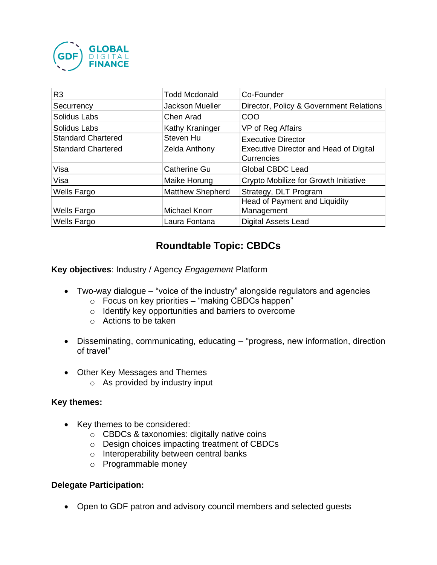

| R <sub>3</sub>            | Todd Mcdonald           | Co-Founder                                                  |
|---------------------------|-------------------------|-------------------------------------------------------------|
| Securrency                | Jackson Mueller         | Director, Policy & Government Relations                     |
| Solidus Labs              | Chen Arad               | COO                                                         |
| Solidus Labs              | Kathy Kraninger         | VP of Reg Affairs                                           |
| <b>Standard Chartered</b> | Steven Hu               | <b>Executive Director</b>                                   |
| <b>Standard Chartered</b> | <b>Zelda Anthony</b>    | <b>Executive Director and Head of Digital</b><br>Currencies |
| Visa                      | <b>Catherine Gu</b>     | <b>Global CBDC Lead</b>                                     |
| Visa                      | Maike Horung            | Crypto Mobilize for Growth Initiative                       |
| <b>Wells Fargo</b>        | <b>Matthew Shepherd</b> | Strategy, DLT Program                                       |
|                           |                         | Head of Payment and Liquidity                               |
| <b>Wells Fargo</b>        | <b>Michael Knorr</b>    | Management                                                  |
| <b>Wells Fargo</b>        | Laura Fontana           | <b>Digital Assets Lead</b>                                  |

## **Roundtable Topic: CBDCs**

**Key objectives**: Industry / Agency *Engagement* Platform

- Two-way dialogue "voice of the industry" alongside regulators and agencies
	- o Focus on key priorities "making CBDCs happen"
	- o Identify key opportunities and barriers to overcome
	- o Actions to be taken
- Disseminating, communicating, educating "progress, new information, direction of travel"
- Other Key Messages and Themes
	- $\circ$  As provided by industry input

#### **Key themes:**

- Key themes to be considered:
	- o CBDCs & taxonomies: digitally native coins
	- o Design choices impacting treatment of CBDCs
	- o Interoperability between central banks
	- o Programmable money

#### **Delegate Participation:**

• Open to GDF patron and advisory council members and selected guests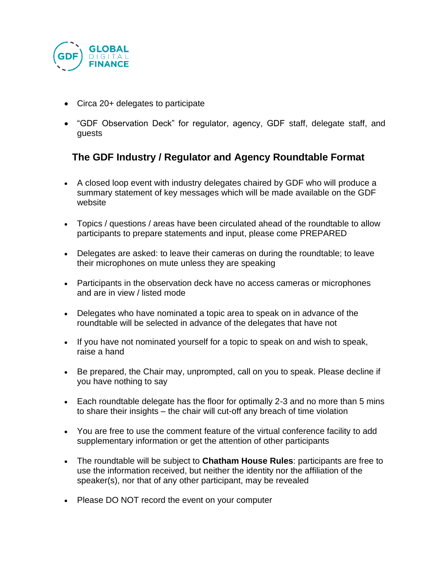

- Circa 20+ delegates to participate
- "GDF Observation Deck" for regulator, agency, GDF staff, delegate staff, and guests

## **The GDF Industry / Regulator and Agency Roundtable Format**

- A closed loop event with industry delegates chaired by GDF who will produce a summary statement of key messages which will be made available on the GDF website
- Topics / questions / areas have been circulated ahead of the roundtable to allow participants to prepare statements and input, please come PREPARED
- Delegates are asked: to leave their cameras on during the roundtable; to leave their microphones on mute unless they are speaking
- Participants in the observation deck have no access cameras or microphones and are in view / listed mode
- Delegates who have nominated a topic area to speak on in advance of the roundtable will be selected in advance of the delegates that have not
- If you have not nominated yourself for a topic to speak on and wish to speak, raise a hand
- Be prepared, the Chair may, unprompted, call on you to speak. Please decline if you have nothing to say
- Each roundtable delegate has the floor for optimally 2-3 and no more than 5 mins to share their insights – the chair will cut-off any breach of time violation
- You are free to use the comment feature of the virtual conference facility to add supplementary information or get the attention of other participants
- The roundtable will be subject to **Chatham House Rules**: participants are free to use the information received, but neither the identity nor the affiliation of the speaker(s), nor that of any other participant, may be revealed
- Please DO NOT record the event on your computer